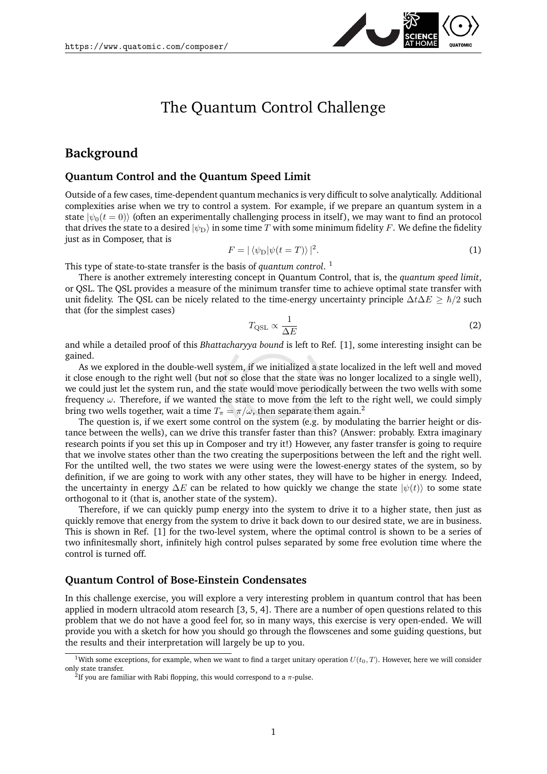

# The Quantum Control Challenge

### **Background**

#### **Quantum Control and the Quantum Speed Limit**

Outside of a few cases, time-dependent quantum mechanics is very difficult to solve analytically. Additional complexities arise when we try to control a system. For example, if we prepare an quantum system in a state  $|\psi_0(t=0)\rangle$  (often an experimentally challenging process in itself), we may want to find an protocol that drives the state to a desired  $|\psi_D\rangle$  in some time T with some minimum fidelity F. We define the fidelity just as in Composer, that is

$$
F = |\langle \psi_{\mathcal{D}} | \psi(t = T) \rangle|^2. \tag{1}
$$

This type of state-to-state transfer is the basis of *quantum control*. [1](#page-0-0)

There is another extremely interesting concept in Quantum Control, that is, the *quantum speed limit*, or QSL. The QSL provides a measure of the minimum transfer time to achieve optimal state transfer with unit fidelity. The QSL can be nicely related to the time-energy uncertainty principle  $\Delta t \Delta E > \hbar/2$  such that (for the simplest cases)

$$
T_{\rm QSL} \propto \frac{1}{\Delta E} \tag{2}
$$

and while a detailed proof of this *Bhattacharyya bound* is left to Ref. [\[1\]](#page-3-0), some interesting insight can be gained.

As we explored in the double-well system, if we initialized a state localized in the left well and moved it close enough to the right well (but not so close that the state was no longer localized to a single well), we could just let the system run, and the state would move periodically between the two wells with some frequency  $\omega$ . Therefore, if we wanted the state to move from the left to the right well, we could simply bring two wells together, wait a time  $T_{\pi} = \pi/\omega$ , then separate them again.<sup>[2](#page-0-1)</sup>

The question is, if we exert some control on the system (e.g. by modulating the barrier height or distance between the wells), can we drive this transfer faster than this? (Answer: probably. Extra imaginary research points if you set this up in Composer and try it!) However, any faster transfer is going to require that we involve states other than the two creating the superpositions between the left and the right well. For the untilted well, the two states we were using were the lowest-energy states of the system, so by definition, if we are going to work with any other states, they will have to be higher in energy. Indeed, the uncertainty in energy  $\Delta E$  can be related to how quickly we change the state  $|\psi(t)\rangle$  to some state orthogonal to it (that is, another state of the system).

Therefore, if we can quickly pump energy into the system to drive it to a higher state, then just as quickly remove that energy from the system to drive it back down to our desired state, we are in business. This is shown in Ref. [\[1\]](#page-3-0) for the two-level system, where the optimal control is shown to be a series of two infinitesmally short, infinitely high control pulses separated by some free evolution time where the control is turned off.

#### **Quantum Control of Bose-Einstein Condensates**

In this challenge exercise, you will explore a very interesting problem in quantum control that has been applied in modern ultracold atom research [\[3,](#page-3-1) [5,](#page-3-2) [4\]](#page-3-3). There are a number of open questions related to this problem that we do not have a good feel for, so in many ways, this exercise is very open-ended. We will provide you with a sketch for how you should go through the flowscenes and some guiding questions, but the results and their interpretation will largely be up to you.

<span id="page-0-0"></span><sup>&</sup>lt;sup>1</sup>With some exceptions, for example, when we want to find a target unitary operation  $U(t_0, T)$ . However, here we will consider only state transfer.

<span id="page-0-1"></span><sup>&</sup>lt;sup>2</sup>If you are familiar with Rabi flopping, this would correspond to a  $\pi$ -pulse.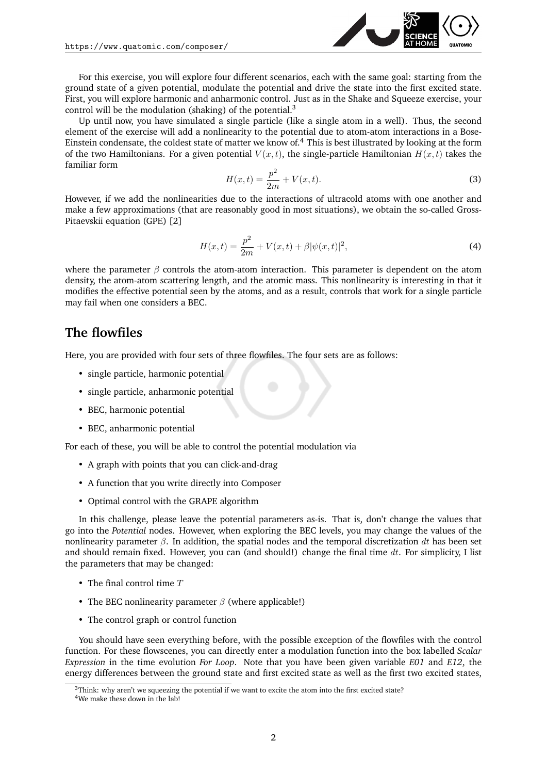

For this exercise, you will explore four different scenarios, each with the same goal: starting from the ground state of a given potential, modulate the potential and drive the state into the first excited state. First, you will explore harmonic and anharmonic control. Just as in the Shake and Squeeze exercise, your control will be the modulation (shaking) of the potential.[3](#page-1-0)

Up until now, you have simulated a single particle (like a single atom in a well). Thus, the second element of the exercise will add a nonlinearity to the potential due to atom-atom interactions in a Bose-Einstein condensate, the coldest state of matter we know of.[4](#page-1-1) This is best illustrated by looking at the form of the two Hamiltonians. For a given potential  $V(x, t)$ , the single-particle Hamiltonian  $H(x, t)$  takes the familiar form

$$
H(x,t) = \frac{p^2}{2m} + V(x,t).
$$
 (3)

However, if we add the nonlinearities due to the interactions of ultracold atoms with one another and make a few approximations (that are reasonably good in most situations), we obtain the so-called Gross-Pitaevskii equation (GPE) [\[2\]](#page-3-4)

$$
H(x,t) = \frac{p^2}{2m} + V(x,t) + \beta |\psi(x,t)|^2,
$$
\n(4)

where the parameter  $\beta$  controls the atom-atom interaction. This parameter is dependent on the atom density, the atom-atom scattering length, and the atomic mass. This nonlinearity is interesting in that it modifies the effective potential seen by the atoms, and as a result, controls that work for a single particle may fail when one considers a BEC.

#### **The flowfiles**

Here, you are provided with four sets of three flowfiles. The four sets are as follows:

- single particle, harmonic potential
- single particle, anharmonic potential
- BEC, harmonic potential
- BEC, anharmonic potential

For each of these, you will be able to control the potential modulation via

- A graph with points that you can click-and-drag
- A function that you write directly into Composer
- Optimal control with the GRAPE algorithm

In this challenge, please leave the potential parameters as-is. That is, don't change the values that go into the *Potential* nodes. However, when exploring the BEC levels, you may change the values of the nonlinearity parameter  $\beta$ . In addition, the spatial nodes and the temporal discretization dt has been set and should remain fixed. However, you can (and should!) change the final time  $dt$ . For simplicity, I list the parameters that may be changed:

- The final control time  $T$
- The BEC nonlinearity parameter  $\beta$  (where applicable!)
- The control graph or control function

You should have seen everything before, with the possible exception of the flowfiles with the control function. For these flowscenes, you can directly enter a modulation function into the box labelled *Scalar Expression* in the time evolution *For Loop*. Note that you have been given variable *E01* and *E12*, the energy differences between the ground state and first excited state as well as the first two excited states,

<span id="page-1-0"></span> $3$ Think: why aren't we squeezing the potential if we want to excite the atom into the first excited state?

<span id="page-1-1"></span><sup>&</sup>lt;sup>4</sup>We make these down in the lab!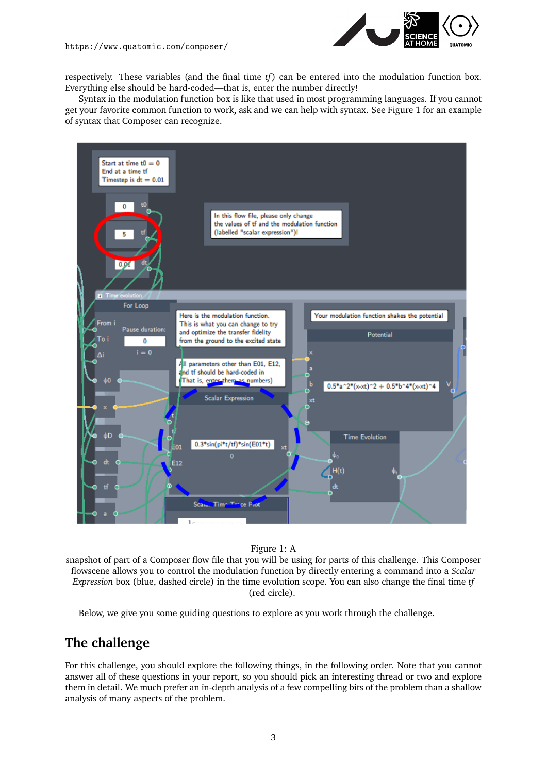

respectively. These variables (and the final time *tf* ) can be entered into the modulation function box. Everything else should be hard-coded—that is, enter the number directly!

Syntax in the modulation function box is like that used in most programming languages. If you cannot get your favorite common function to work, ask and we can help with syntax. See Figure [1](#page-2-0) for an example of syntax that Composer can recognize.



<span id="page-2-0"></span>Figure 1: A

snapshot of part of a Composer flow file that you will be using for parts of this challenge. This Composer flowscene allows you to control the modulation function by directly entering a command into a *Scalar Expression* box (blue, dashed circle) in the time evolution scope. You can also change the final time *tf* (red circle).

Below, we give you some guiding questions to explore as you work through the challenge.

## **The challenge**

For this challenge, you should explore the following things, in the following order. Note that you cannot answer all of these questions in your report, so you should pick an interesting thread or two and explore them in detail. We much prefer an in-depth analysis of a few compelling bits of the problem than a shallow analysis of many aspects of the problem.